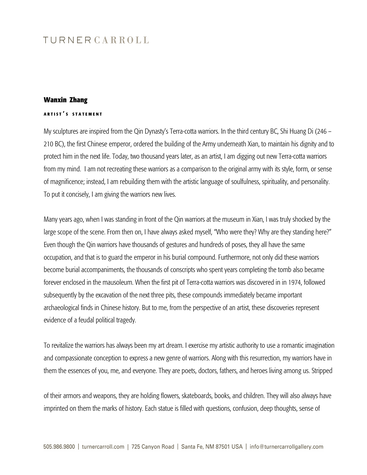## TURNERCARROLL

## **Wanxin Zhang**

## **<sup>A</sup> <sup>R</sup> <sup>T</sup> <sup>I</sup> <sup>S</sup> T ' S S <sup>T</sup> <sup>A</sup> <sup>T</sup> <sup>E</sup> <sup>M</sup> <sup>E</sup> <sup>N</sup> <sup>T</sup>**

My sculptures are inspired from the Qin Dynasty's Terra-cotta warriors. In the third century BC, Shi Huang Di (246 – 210 BC), the first Chinese emperor, ordered the building of the Army underneath Xian, to maintain his dignity and to protect him in the next life. Today, two thousand years later, as an artist, I am digging out new Terra-cotta warriors from my mind. I am not recreating these warriors as a comparison to the original army with its style, form, or sense of magnificence; instead, I am rebuilding them with the artistic language of soulfulness, spirituality, and personality. To put it concisely, I am giving the warriors new lives.

Many years ago, when I was standing in front of the Qin warriors at the museum in Xian, I was truly shocked by the large scope of the scene. From then on, I have always asked myself, "Who were they? Why are they standing here?" Even though the Qin warriors have thousands of gestures and hundreds of poses, they all have the same occupation, and that is to guard the emperor in his burial compound. Furthermore, not only did these warriors become burial accompaniments, the thousands of conscripts who spent years completing the tomb also became forever enclosed in the mausoleum. When the first pit of Terra-cotta warriors was discovered in in 1974, followed subsequently by the excavation of the next three pits, these compounds immediately became important archaeological finds in Chinese history. But to me, from the perspective of an artist, these discoveries represent evidence of a feudal political tragedy.

To revitalize the warriors has always been my art dream. I exercise my artistic authority to use a romantic imagination and compassionate conception to express a new genre of warriors. Along with this resurrection, my warriors have in them the essences of you, me, and everyone. They are poets, doctors, fathers, and heroes living among us. Stripped

of their armors and weapons, they are holding flowers, skateboards, books, and children. They will also always have imprinted on them the marks of history. Each statue is filled with questions, confusion, deep thoughts, sense of